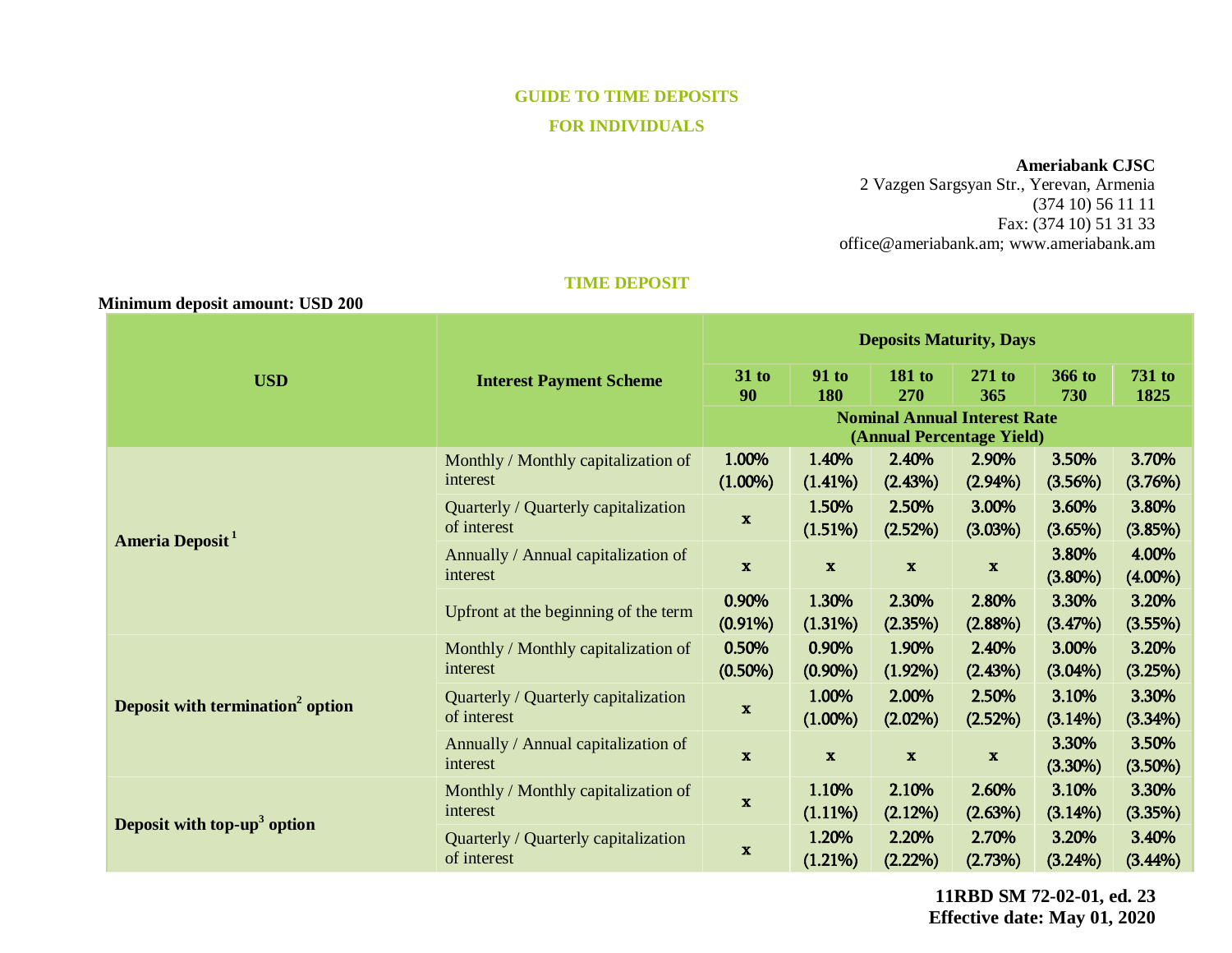# **GUIDE TO TIME DEPOSITS FOR INDIVIDUALS**

## **Ameriabank CJSC**

2 Vazgen Sargsyan Str., Yerevan, Armenia (374 10) 56 11 11 Fax: (374 10) 51 31 33 [office@ameriabank.am;](mailto:office@ameriabank.am) www.ameriabank.am

## **TIME DEPOSIT**

#### **Minimum deposit amount: USD 200**

| <b>USD</b>                                   | <b>Interest Payment Scheme</b>                      | <b>Deposits Maturity, Days</b>                                   |                     |                      |                     |                     |                       |
|----------------------------------------------|-----------------------------------------------------|------------------------------------------------------------------|---------------------|----------------------|---------------------|---------------------|-----------------------|
|                                              |                                                     | $31$ to<br>90                                                    | <b>91 to</b><br>180 | <b>181 to</b><br>270 | $271$ to<br>365     | 366 to<br>730       | <b>731 to</b><br>1825 |
|                                              |                                                     | <b>Nominal Annual Interest Rate</b><br>(Annual Percentage Yield) |                     |                      |                     |                     |                       |
| Ameria Deposit <sup>1</sup>                  | Monthly / Monthly capitalization of<br>interest     | 1.00%<br>$(1.00\%)$                                              | 1.40%<br>$(1.41\%)$ | 2.40%<br>(2.43%)     | 2.90%<br>$(2.94\%)$ | 3.50%<br>(3.56%)    | 3.70%<br>(3.76%)      |
|                                              | Quarterly / Quarterly capitalization<br>of interest | $\mathbf{x}$                                                     | 1.50%<br>(1.51%)    | 2.50%<br>(2.52%)     | 3.00%<br>(3.03%)    | 3.60%<br>$(3.65\%)$ | 3.80%<br>(3.85%)      |
|                                              | Annually / Annual capitalization of<br>interest     | $\mathbf x$                                                      | $\mathbf{x}$        | $\mathbf{x}$         | $\mathbf{x}$        | 3.80%<br>$(3.80\%)$ | 4.00%<br>$(4.00\%)$   |
|                                              | Upfront at the beginning of the term                | 0.90%<br>$(0.91\%)$                                              | 1.30%<br>(1.31%)    | 2.30%<br>(2.35%)     | 2.80%<br>$(2.88\%)$ | 3.30%<br>(3.47%)    | 3.20%<br>(3.55%)      |
| Deposit with termination <sup>2</sup> option | Monthly / Monthly capitalization of<br>interest     | 0.50%<br>$(0.50\%)$                                              | 0.90%<br>$(0.90\%)$ | 1.90%<br>$(1.92\%)$  | 2.40%<br>(2.43%)    | 3.00%<br>$(3.04\%)$ | 3.20%<br>(3.25%)      |
|                                              | Quarterly / Quarterly capitalization<br>of interest | $\mathbf x$                                                      | 1.00%<br>$(1.00\%)$ | 2.00%<br>$(2.02\%)$  | 2.50%<br>(2.52%)    | 3.10%<br>$(3.14\%)$ | 3.30%<br>$(3.34\%)$   |
|                                              | Annually / Annual capitalization of<br>interest     | $\mathbf x$                                                      | $\mathbf{x}$        | $\mathbf{x}$         | $\mathbf x$         | 3.30%<br>$(3.30\%)$ | 3.50%<br>$(3.50\%)$   |
| Deposit with top-up <sup>3</sup> option      | Monthly / Monthly capitalization of<br>interest     | $\mathbf x$                                                      | 1.10%<br>$(1.11\%)$ | 2.10%<br>(2.12%)     | 2.60%<br>(2.63%)    | 3.10%<br>$(3.14\%)$ | 3.30%<br>(3.35%)      |
|                                              | Quarterly / Quarterly capitalization<br>of interest | $\mathbf{x}$                                                     | 1.20%<br>(1.21%)    | 2.20%<br>$(2.22\%)$  | 2.70%<br>(2.73%)    | 3.20%<br>(3.24%)    | 3.40%<br>$(3.44\%)$   |

**11RBD SM 72-02-01, ed. 23 Effective date: May 01, 2020**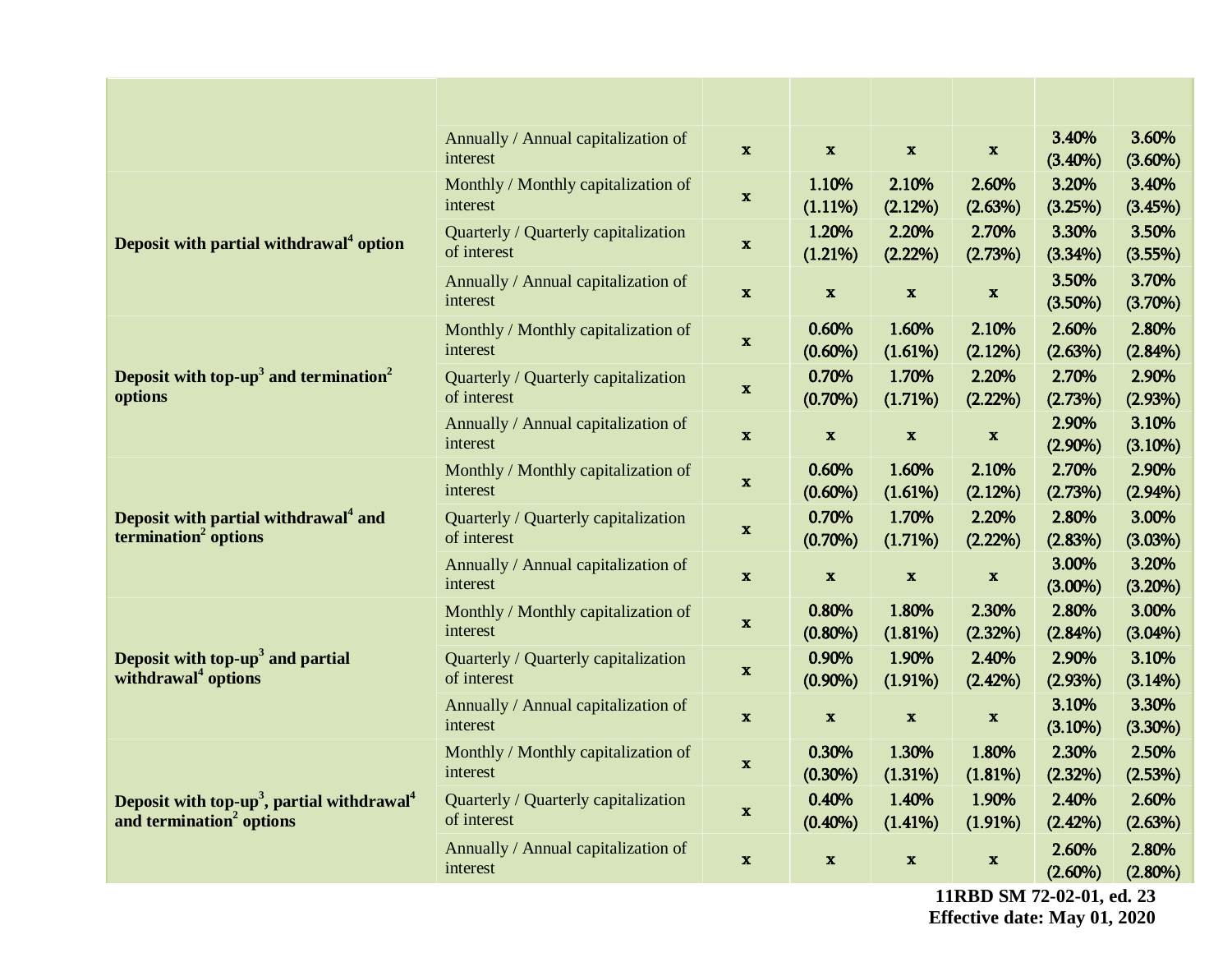| 3.60%<br>3.40%<br>Annually / Annual capitalization of<br>$\mathbf{x}$<br>$\mathbf x$<br>$\mathbf{x}$<br>$\mathbf X$<br>interest<br>$(3.40\%)$<br>$(3.60\%)$<br>2.10%<br>3.20%<br>3.40%<br>1.10%<br>2.60%<br>Monthly / Monthly capitalization of<br>$\mathbf{x}$<br>interest<br>$(1.11\%)$<br>(2.12%)<br>(2.63%)<br>(3.25%)<br>(3.45%)<br>1.20%<br>2.20%<br>2.70%<br>3.30%<br>3.50%<br>Quarterly / Quarterly capitalization<br>Deposit with partial withdrawal <sup>4</sup> option<br>$\mathbf x$<br>of interest<br>(1.21%)<br>(2.22%)<br>(2.73%)<br>(3.55%)<br>$(3.34\%)$<br>3.70%<br>3.50%<br>Annually / Annual capitalization of<br>$\mathbf{x}$<br>$\mathbf{x}$<br>$\mathbf x$<br>$\mathbf x$<br>interest<br>$(3.50\%)$<br>(3.70%)<br>2.60%<br>2.80%<br>0.60%<br>1.60%<br>2.10%<br>Monthly / Monthly capitalization of<br>$\mathbf x$<br>interest<br>$(0.60\%)$<br>(1.61%)<br>(2.63%)<br>$(2.84\%)$<br>(2.12%)<br>Deposit with top- $up3$ and termination <sup>2</sup><br>0.70%<br>1.70%<br>2.20%<br>2.70%<br>2.90%<br>Quarterly / Quarterly capitalization<br>$\mathbf{x}$<br>options<br>of interest<br>$(0.70\%)$<br>(2.93%)<br>$(1.71\%)$<br>$(2.22\%)$<br>(2.73%)<br>3.10%<br>2.90%<br>Annually / Annual capitalization of<br>$\mathbf x$<br>$\mathbf x$<br>$\boldsymbol{\mathrm{x}}$<br>$\mathbf x$<br>$(3.10\%)$<br>interest<br>$(2.90\%)$<br>2.70%<br>2.90%<br>0.60%<br>1.60%<br>2.10%<br>Monthly / Monthly capitalization of<br>$\boldsymbol{\mathrm{X}}$<br>interest<br>$(0.60\%)$<br>$(2.94\%)$<br>(1.61%)<br>(2.12%)<br>(2.73%)<br>0.70%<br>1.70%<br>2.20%<br>3.00%<br>Deposit with partial withdrawal <sup>4</sup> and<br>2.80%<br>Quarterly / Quarterly capitalization<br>$\mathbf{x}$<br>termination <sup>2</sup> options<br>of interest<br>$(0.70\%)$<br>(1.71%)<br>(3.03%)<br>(2.22%)<br>(2.83%)<br>3.20%<br>3.00%<br>Annually / Annual capitalization of<br>$\mathbf x$<br>$\mathbf x$<br>$\mathbf{x}$<br>$\mathbf x$<br>interest<br>(3.20%)<br>$(3.00\%)$<br>2.80%<br>3.00%<br>1.80%<br>2.30%<br>0.80%<br>Monthly / Monthly capitalization of<br>$\mathbf{x}$<br>interest<br>$(3.04\%)$<br>$(0.80\%)$<br>(1.81%)<br>(2.32%)<br>$(2.84\%)$<br>Deposit with $top-up3$ and partial<br>0.90%<br>3.10%<br>1.90%<br>2.40%<br>2.90%<br>Quarterly / Quarterly capitalization<br>$\mathbf{x}$<br>withdrawal <sup>4</sup> options<br>of interest<br>$(0.90\%)$<br>(1.91%)<br>(3.14%)<br>$(2.42\%)$<br>(2.93%)<br>3.30%<br>3.10%<br>Annually / Annual capitalization of<br>$\mathbf x$<br>$\mathbf x$<br>$\mathbf x$<br>$\mathbf x$<br>interest<br>(3.10%)<br>$(3.30\%)$<br>1.30%<br>2.30%<br>2.50%<br>Monthly / Monthly capitalization of<br>0.30%<br>1.80%<br>$\mathbf x$<br>interest<br>$(0.30\%)$<br>(1.31%)<br>(2.32%)<br>(2.53%)<br>(1.81%)<br>0.40%<br>1.40%<br>1.90%<br>2.40%<br>2.60%<br>Deposit with top-up <sup>3</sup> , partial withdrawal <sup>4</sup><br>Quarterly / Quarterly capitalization<br>$\mathbf{x}$<br>of interest<br>and termination <sup>2</sup> options<br>$(0.40\%)$<br>(2.63%)<br>(1.41%)<br>(1.91%)<br>(2.42%)<br>Annually / Annual capitalization of<br>2.80%<br>2.60%<br>$\mathbf x$<br>$\mathbf x$<br>$\mathbf{x}$<br>$\mathbf{x}$<br>interest<br>$(2.60\%)$<br>$(2.80\%)$ |  |  |  |  |  |
|------------------------------------------------------------------------------------------------------------------------------------------------------------------------------------------------------------------------------------------------------------------------------------------------------------------------------------------------------------------------------------------------------------------------------------------------------------------------------------------------------------------------------------------------------------------------------------------------------------------------------------------------------------------------------------------------------------------------------------------------------------------------------------------------------------------------------------------------------------------------------------------------------------------------------------------------------------------------------------------------------------------------------------------------------------------------------------------------------------------------------------------------------------------------------------------------------------------------------------------------------------------------------------------------------------------------------------------------------------------------------------------------------------------------------------------------------------------------------------------------------------------------------------------------------------------------------------------------------------------------------------------------------------------------------------------------------------------------------------------------------------------------------------------------------------------------------------------------------------------------------------------------------------------------------------------------------------------------------------------------------------------------------------------------------------------------------------------------------------------------------------------------------------------------------------------------------------------------------------------------------------------------------------------------------------------------------------------------------------------------------------------------------------------------------------------------------------------------------------------------------------------------------------------------------------------------------------------------------------------------------------------------------------------------------------------------------------------------------------------------------------------------------------------------------------------------------------------------------------------------------------------------------------------------------------------------------------------------------------------------------------------------------------------------------------------------------------------------------------------------------------------------------------------------------------------------------------------------|--|--|--|--|--|
|                                                                                                                                                                                                                                                                                                                                                                                                                                                                                                                                                                                                                                                                                                                                                                                                                                                                                                                                                                                                                                                                                                                                                                                                                                                                                                                                                                                                                                                                                                                                                                                                                                                                                                                                                                                                                                                                                                                                                                                                                                                                                                                                                                                                                                                                                                                                                                                                                                                                                                                                                                                                                                                                                                                                                                                                                                                                                                                                                                                                                                                                                                                                                                                                                        |  |  |  |  |  |
|                                                                                                                                                                                                                                                                                                                                                                                                                                                                                                                                                                                                                                                                                                                                                                                                                                                                                                                                                                                                                                                                                                                                                                                                                                                                                                                                                                                                                                                                                                                                                                                                                                                                                                                                                                                                                                                                                                                                                                                                                                                                                                                                                                                                                                                                                                                                                                                                                                                                                                                                                                                                                                                                                                                                                                                                                                                                                                                                                                                                                                                                                                                                                                                                                        |  |  |  |  |  |
|                                                                                                                                                                                                                                                                                                                                                                                                                                                                                                                                                                                                                                                                                                                                                                                                                                                                                                                                                                                                                                                                                                                                                                                                                                                                                                                                                                                                                                                                                                                                                                                                                                                                                                                                                                                                                                                                                                                                                                                                                                                                                                                                                                                                                                                                                                                                                                                                                                                                                                                                                                                                                                                                                                                                                                                                                                                                                                                                                                                                                                                                                                                                                                                                                        |  |  |  |  |  |
|                                                                                                                                                                                                                                                                                                                                                                                                                                                                                                                                                                                                                                                                                                                                                                                                                                                                                                                                                                                                                                                                                                                                                                                                                                                                                                                                                                                                                                                                                                                                                                                                                                                                                                                                                                                                                                                                                                                                                                                                                                                                                                                                                                                                                                                                                                                                                                                                                                                                                                                                                                                                                                                                                                                                                                                                                                                                                                                                                                                                                                                                                                                                                                                                                        |  |  |  |  |  |
|                                                                                                                                                                                                                                                                                                                                                                                                                                                                                                                                                                                                                                                                                                                                                                                                                                                                                                                                                                                                                                                                                                                                                                                                                                                                                                                                                                                                                                                                                                                                                                                                                                                                                                                                                                                                                                                                                                                                                                                                                                                                                                                                                                                                                                                                                                                                                                                                                                                                                                                                                                                                                                                                                                                                                                                                                                                                                                                                                                                                                                                                                                                                                                                                                        |  |  |  |  |  |
|                                                                                                                                                                                                                                                                                                                                                                                                                                                                                                                                                                                                                                                                                                                                                                                                                                                                                                                                                                                                                                                                                                                                                                                                                                                                                                                                                                                                                                                                                                                                                                                                                                                                                                                                                                                                                                                                                                                                                                                                                                                                                                                                                                                                                                                                                                                                                                                                                                                                                                                                                                                                                                                                                                                                                                                                                                                                                                                                                                                                                                                                                                                                                                                                                        |  |  |  |  |  |
|                                                                                                                                                                                                                                                                                                                                                                                                                                                                                                                                                                                                                                                                                                                                                                                                                                                                                                                                                                                                                                                                                                                                                                                                                                                                                                                                                                                                                                                                                                                                                                                                                                                                                                                                                                                                                                                                                                                                                                                                                                                                                                                                                                                                                                                                                                                                                                                                                                                                                                                                                                                                                                                                                                                                                                                                                                                                                                                                                                                                                                                                                                                                                                                                                        |  |  |  |  |  |
|                                                                                                                                                                                                                                                                                                                                                                                                                                                                                                                                                                                                                                                                                                                                                                                                                                                                                                                                                                                                                                                                                                                                                                                                                                                                                                                                                                                                                                                                                                                                                                                                                                                                                                                                                                                                                                                                                                                                                                                                                                                                                                                                                                                                                                                                                                                                                                                                                                                                                                                                                                                                                                                                                                                                                                                                                                                                                                                                                                                                                                                                                                                                                                                                                        |  |  |  |  |  |
|                                                                                                                                                                                                                                                                                                                                                                                                                                                                                                                                                                                                                                                                                                                                                                                                                                                                                                                                                                                                                                                                                                                                                                                                                                                                                                                                                                                                                                                                                                                                                                                                                                                                                                                                                                                                                                                                                                                                                                                                                                                                                                                                                                                                                                                                                                                                                                                                                                                                                                                                                                                                                                                                                                                                                                                                                                                                                                                                                                                                                                                                                                                                                                                                                        |  |  |  |  |  |
|                                                                                                                                                                                                                                                                                                                                                                                                                                                                                                                                                                                                                                                                                                                                                                                                                                                                                                                                                                                                                                                                                                                                                                                                                                                                                                                                                                                                                                                                                                                                                                                                                                                                                                                                                                                                                                                                                                                                                                                                                                                                                                                                                                                                                                                                                                                                                                                                                                                                                                                                                                                                                                                                                                                                                                                                                                                                                                                                                                                                                                                                                                                                                                                                                        |  |  |  |  |  |
|                                                                                                                                                                                                                                                                                                                                                                                                                                                                                                                                                                                                                                                                                                                                                                                                                                                                                                                                                                                                                                                                                                                                                                                                                                                                                                                                                                                                                                                                                                                                                                                                                                                                                                                                                                                                                                                                                                                                                                                                                                                                                                                                                                                                                                                                                                                                                                                                                                                                                                                                                                                                                                                                                                                                                                                                                                                                                                                                                                                                                                                                                                                                                                                                                        |  |  |  |  |  |
|                                                                                                                                                                                                                                                                                                                                                                                                                                                                                                                                                                                                                                                                                                                                                                                                                                                                                                                                                                                                                                                                                                                                                                                                                                                                                                                                                                                                                                                                                                                                                                                                                                                                                                                                                                                                                                                                                                                                                                                                                                                                                                                                                                                                                                                                                                                                                                                                                                                                                                                                                                                                                                                                                                                                                                                                                                                                                                                                                                                                                                                                                                                                                                                                                        |  |  |  |  |  |
|                                                                                                                                                                                                                                                                                                                                                                                                                                                                                                                                                                                                                                                                                                                                                                                                                                                                                                                                                                                                                                                                                                                                                                                                                                                                                                                                                                                                                                                                                                                                                                                                                                                                                                                                                                                                                                                                                                                                                                                                                                                                                                                                                                                                                                                                                                                                                                                                                                                                                                                                                                                                                                                                                                                                                                                                                                                                                                                                                                                                                                                                                                                                                                                                                        |  |  |  |  |  |
|                                                                                                                                                                                                                                                                                                                                                                                                                                                                                                                                                                                                                                                                                                                                                                                                                                                                                                                                                                                                                                                                                                                                                                                                                                                                                                                                                                                                                                                                                                                                                                                                                                                                                                                                                                                                                                                                                                                                                                                                                                                                                                                                                                                                                                                                                                                                                                                                                                                                                                                                                                                                                                                                                                                                                                                                                                                                                                                                                                                                                                                                                                                                                                                                                        |  |  |  |  |  |
|                                                                                                                                                                                                                                                                                                                                                                                                                                                                                                                                                                                                                                                                                                                                                                                                                                                                                                                                                                                                                                                                                                                                                                                                                                                                                                                                                                                                                                                                                                                                                                                                                                                                                                                                                                                                                                                                                                                                                                                                                                                                                                                                                                                                                                                                                                                                                                                                                                                                                                                                                                                                                                                                                                                                                                                                                                                                                                                                                                                                                                                                                                                                                                                                                        |  |  |  |  |  |
|                                                                                                                                                                                                                                                                                                                                                                                                                                                                                                                                                                                                                                                                                                                                                                                                                                                                                                                                                                                                                                                                                                                                                                                                                                                                                                                                                                                                                                                                                                                                                                                                                                                                                                                                                                                                                                                                                                                                                                                                                                                                                                                                                                                                                                                                                                                                                                                                                                                                                                                                                                                                                                                                                                                                                                                                                                                                                                                                                                                                                                                                                                                                                                                                                        |  |  |  |  |  |

**11RBD SM 72-02-01, ed. 23 Effective date: May 01, 2020**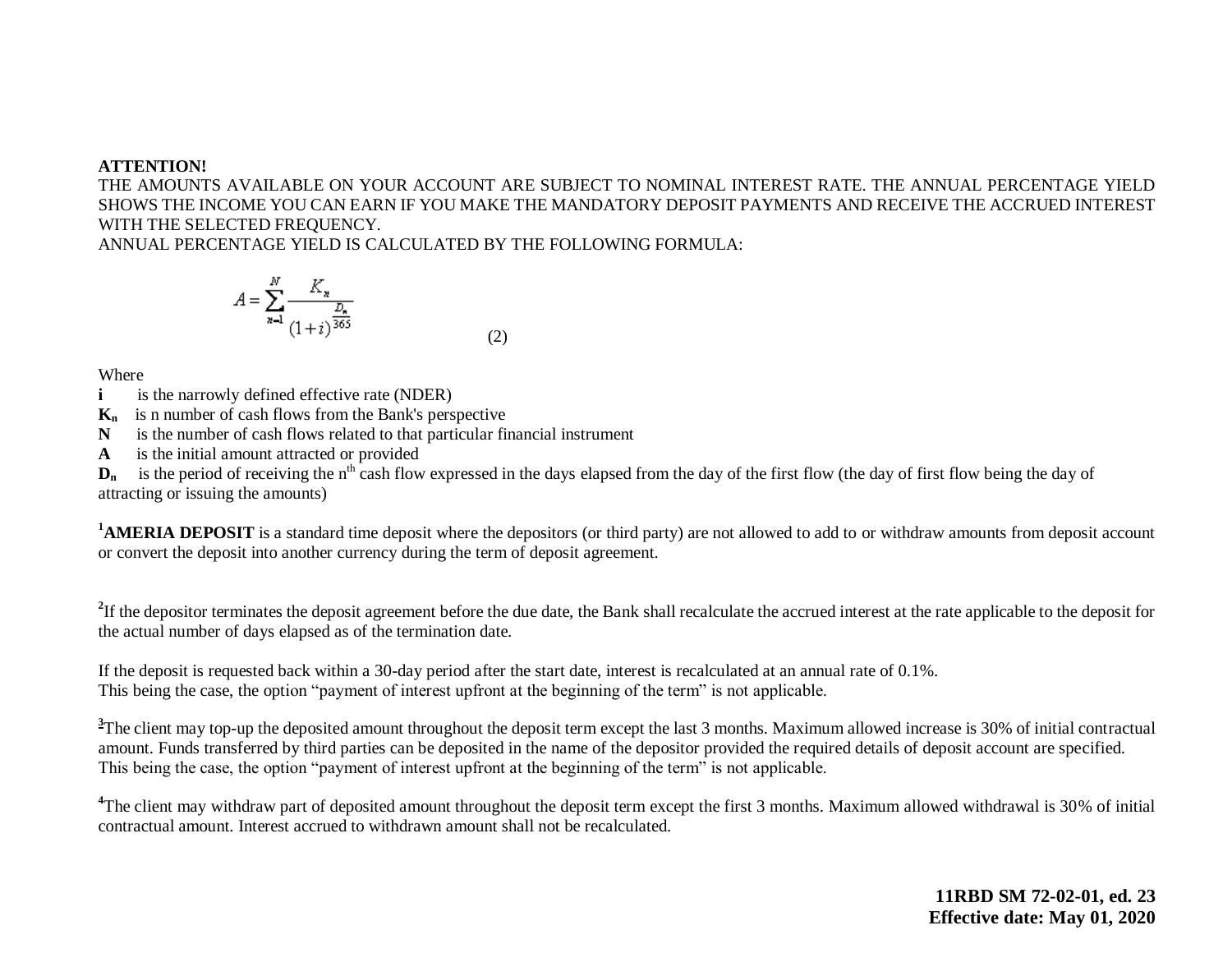#### **ATTENTION!**

THE AMOUNTS AVAILABLE ON YOUR ACCOUNT ARE SUBJECT TO NOMINAL INTEREST RATE. THE ANNUAL PERCENTAGE YIELD SHOWS THE INCOME YOU CAN EARN IF YOU MAKE THE MANDATORY DEPOSIT PAYMENTS AND RECEIVE THE ACCRUED INTEREST WITH THE SELECTED FREQUENCY.

ANNUAL PERCENTAGE YIELD IS CALCULATED BY THE FOLLOWING FORMULA:

$$
A = \sum_{n=1}^{N} \frac{K_n}{(1+i)^{\frac{D_n}{365}}}
$$
(2)

Where

**i is the narrowly defined effective rate (NDER)** 

**Kn** is n number of cash flows from the Bank's perspective

**N** is the number of cash flows related to that particular financial instrument

**A** is the initial amount attracted or provided

 $D_n$  is the period of receiving the n<sup>th</sup> cash flow expressed in the days elapsed from the day of the first flow (the day of first flow being the day of attracting or issuing the amounts)

<sup>1</sup>**AMERIA DEPOSIT** is a standard time deposit where the depositors (or third party) are not allowed to add to or withdraw amounts from deposit account or convert the deposit into another currency during the term of deposit agreement.

<sup>2</sup>If the depositor terminates the deposit agreement before the due date, the Bank shall recalculate the accrued interest at the rate applicable to the deposit for the actual number of days elapsed as of the termination date.

If the deposit is requested back within a 30-day period after the start date, interest is recalculated at an annual rate of 0.1%. This being the case, the option "payment of interest upfront at the beginning of the term" is not applicable.

<sup>3</sup>The client may top-up the deposited amount throughout the deposit term except the last 3 months. Maximum allowed increase is 30% of initial contractual amount. Funds transferred by third parties can be deposited in the name of the depositor provided the required details of deposit account are specified. This being the case, the option "payment of interest upfront at the beginning of the term" is not applicable.

<sup>4</sup>The client may withdraw part of deposited amount throughout the deposit term except the first 3 months. Maximum allowed withdrawal is 30% of initial contractual amount. Interest accrued to withdrawn amount shall not be recalculated.

> **11RBD SM 72-02-01, ed. 23 Effective date: May 01, 2020**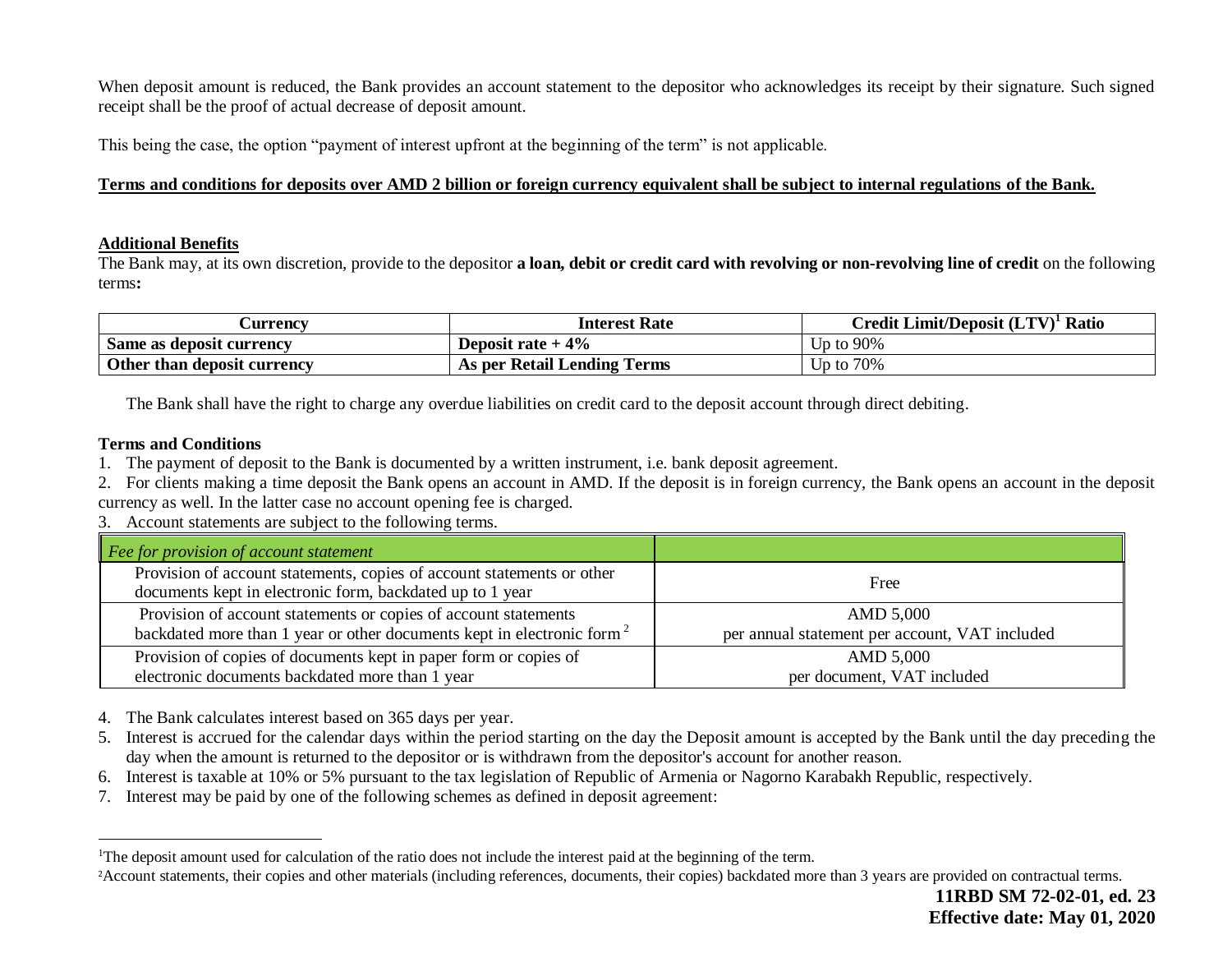When deposit amount is reduced, the Bank provides an account statement to the depositor who acknowledges its receipt by their signature. Such signed receipt shall be the proof of actual decrease of deposit amount.

This being the case, the option "payment of interest upfront at the beginning of the term" is not applicable.

## **Terms and conditions for deposits over AMD 2 billion or foreign currency equivalent shall be subject to internal regulations of the Bank.**

#### **Additional Benefits**

The Bank may, at its own discretion, provide to the depositor **a loan, debit or credit card with revolving or non-revolving line of credit** on the following terms**:**

| <b>Currency</b>             | <b>Interest Rate</b>        | $C$ redit Limit/Deposit $(LTV)^T$ Ratio |
|-----------------------------|-----------------------------|-----------------------------------------|
| Same as deposit currency    | Deposit rate $+4\%$         | Up to 90%                               |
| Other than deposit currency | As per Retail Lending Terms | Up to 70%                               |

The Bank shall have the right to charge any overdue liabilities on credit card to the deposit account through direct debiting.

### **Terms and Conditions**

 $\overline{a}$ 

1. The payment of deposit to the Bank is documented by a written instrument, i.e. bank deposit agreement.

2. For clients making a time deposit the Bank opens an account in AMD. If the deposit is in foreign currency, the Bank opens an account in the deposit currency as well. In the latter case no account opening fee is charged.

3. Account statements are subject to the following terms.

| Fee for provision of account statement                                                                                              |                                                |  |  |
|-------------------------------------------------------------------------------------------------------------------------------------|------------------------------------------------|--|--|
| Provision of account statements, copies of account statements or other<br>documents kept in electronic form, backdated up to 1 year | Free                                           |  |  |
| Provision of account statements or copies of account statements                                                                     | AMD 5,000                                      |  |  |
| backdated more than 1 year or other documents kept in electronic form <sup>2</sup>                                                  | per annual statement per account, VAT included |  |  |
| Provision of copies of documents kept in paper form or copies of                                                                    | AMD 5,000                                      |  |  |
| electronic documents backdated more than 1 year                                                                                     | per document, VAT included                     |  |  |

4. The Bank calculates interest based on 365 days per year.

- 5. Interest is accrued for the calendar days within the period starting on the day the Deposit amount is accepted by the Bank until the day preceding the day when the amount is returned to the depositor or is withdrawn from the depositor's account for another reason.
- 6. Interest is taxable at 10% or 5% pursuant to the tax legislation of Republic of Armenia or Nagorno Karabakh Republic, respectively.
- 7. Interest may be paid by one of the following schemes as defined in deposit agreement:

<sup>&</sup>lt;sup>1</sup>The deposit amount used for calculation of the ratio does not include the interest paid at the beginning of the term.

<sup>&</sup>lt;sup>2</sup>Account statements, their copies and other materials (including references, documents, their copies) backdated more than 3 years are provided on contractual terms.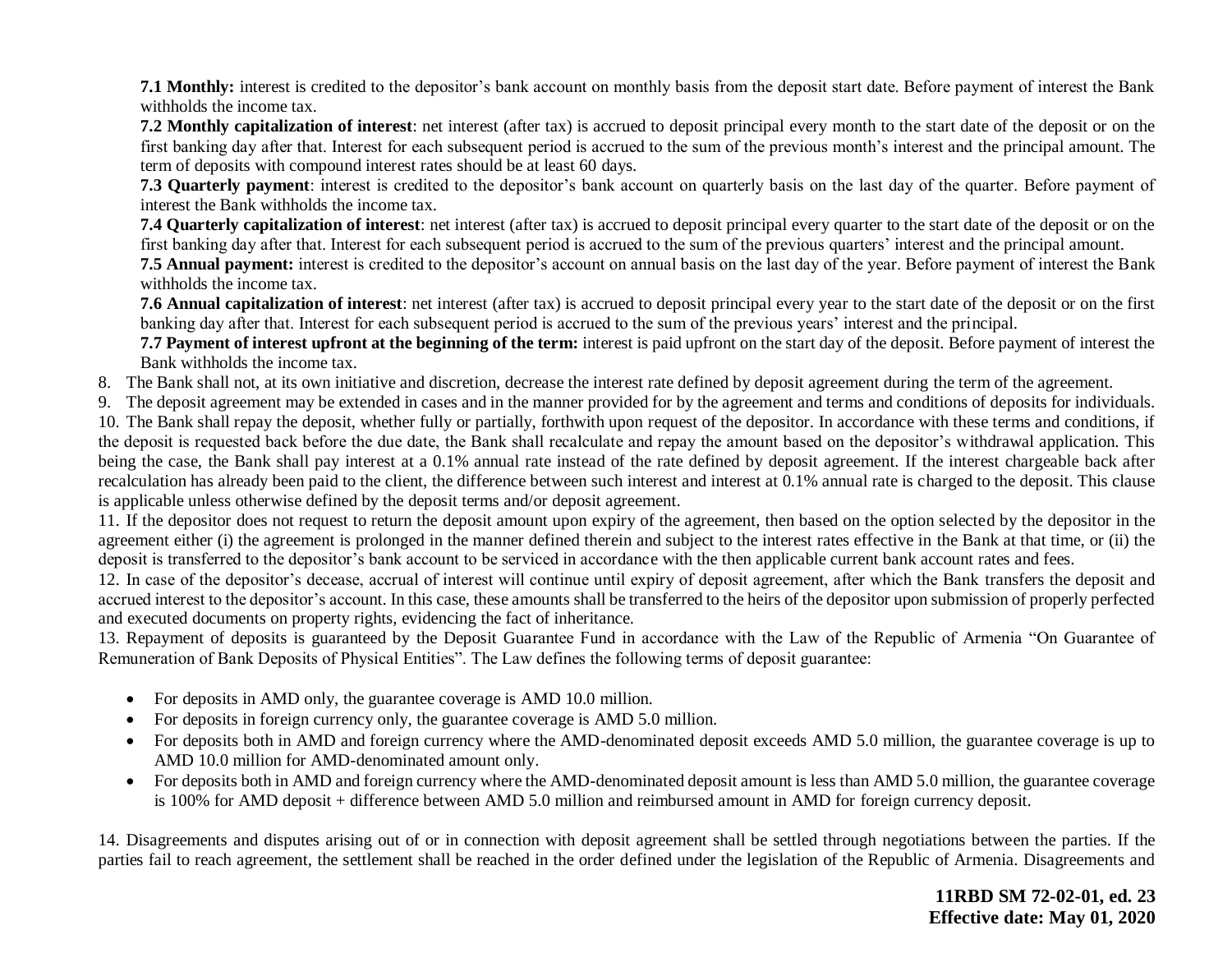**7.1 Monthly:** interest is credited to the depositor's bank account on monthly basis from the deposit start date. Before payment of interest the Bank withholds the income tax.

**7.2 Monthly capitalization of interest**: net interest (after tax) is accrued to deposit principal every month to the start date of the deposit or on the first banking day after that. Interest for each subsequent period is accrued to the sum of the previous month's interest and the principal amount. The term of deposits with compound interest rates should be at least 60 days.

**7.3 Quarterly payment**: interest is credited to the depositor's bank account on quarterly basis on the last day of the quarter. Before payment of interest the Bank withholds the income tax.

**7.4 Quarterly capitalization of interest**: net interest (after tax) is accrued to deposit principal every quarter to the start date of the deposit or on the first banking day after that. Interest for each subsequent period is accrued to the sum of the previous quarters' interest and the principal amount.

**7.5 Annual payment:** interest is credited to the depositor's account on annual basis on the last day of the year. Before payment of interest the Bank withholds the income tax.

**7.6 Annual capitalization of interest**: net interest (after tax) is accrued to deposit principal every year to the start date of the deposit or on the first banking day after that. Interest for each subsequent period is accrued to the sum of the previous years' interest and the principal.

**7.7 Payment of interest upfront at the beginning of the term:** interest is paid upfront on the start day of the deposit. Before payment of interest the Bank withholds the income tax.

8. The Bank shall not, at its own initiative and discretion, decrease the interest rate defined by deposit agreement during the term of the agreement.

9. The deposit agreement may be extended in cases and in the manner provided for by the agreement and terms and conditions of deposits for individuals. 10. The Bank shall repay the deposit, whether fully or partially, forthwith upon request of the depositor. In accordance with these terms and conditions, if the deposit is requested back before the due date, the Bank shall recalculate and repay the amount based on the depositor's withdrawal application. This being the case, the Bank shall pay interest at a 0.1% annual rate instead of the rate defined by deposit agreement. If the interest chargeable back after recalculation has already been paid to the client, the difference between such interest and interest at 0.1% annual rate is charged to the deposit. This clause is applicable unless otherwise defined by the deposit terms and/or deposit agreement.

11. If the depositor does not request to return the deposit amount upon expiry of the agreement, then based on the option selected by the depositor in the agreement either (i) the agreement is prolonged in the manner defined therein and subject to the interest rates effective in the Bank at that time, or (ii) the deposit is transferred to the depositor's bank account to be serviced in accordance with the then applicable current bank account rates and fees.

12. In case of the depositor's decease, accrual of interest will continue until expiry of deposit agreement, after which the Bank transfers the deposit and accrued interest to the depositor's account. In this case, these amounts shall be transferred to the heirs of the depositor upon submission of properly perfected and executed documents on property rights, evidencing the fact of inheritance.

13. Repayment of deposits is guaranteed by the Deposit Guarantee Fund in accordance with the Law of the Republic of Armenia "On Guarantee of Remuneration of Bank Deposits of Physical Entities". The Law defines the following terms of deposit guarantee:

- For deposits in AMD only, the guarantee coverage is AMD 10.0 million.
- For deposits in foreign currency only, the guarantee coverage is AMD 5.0 million.
- For deposits both in AMD and foreign currency where the AMD-denominated deposit exceeds AMD 5.0 million, the guarantee coverage is up to AMD 10.0 million for AMD-denominated amount only.
- For deposits both in AMD and foreign currency where the AMD-denominated deposit amount is less than AMD 5.0 million, the guarantee coverage is 100% for AMD deposit + difference between AMD 5.0 million and reimbursed amount in AMD for foreign currency deposit.

14. Disagreements and disputes arising out of or in connection with deposit agreement shall be settled through negotiations between the parties. If the parties fail to reach agreement, the settlement shall be reached in the order defined under the legislation of the Republic of Armenia. Disagreements and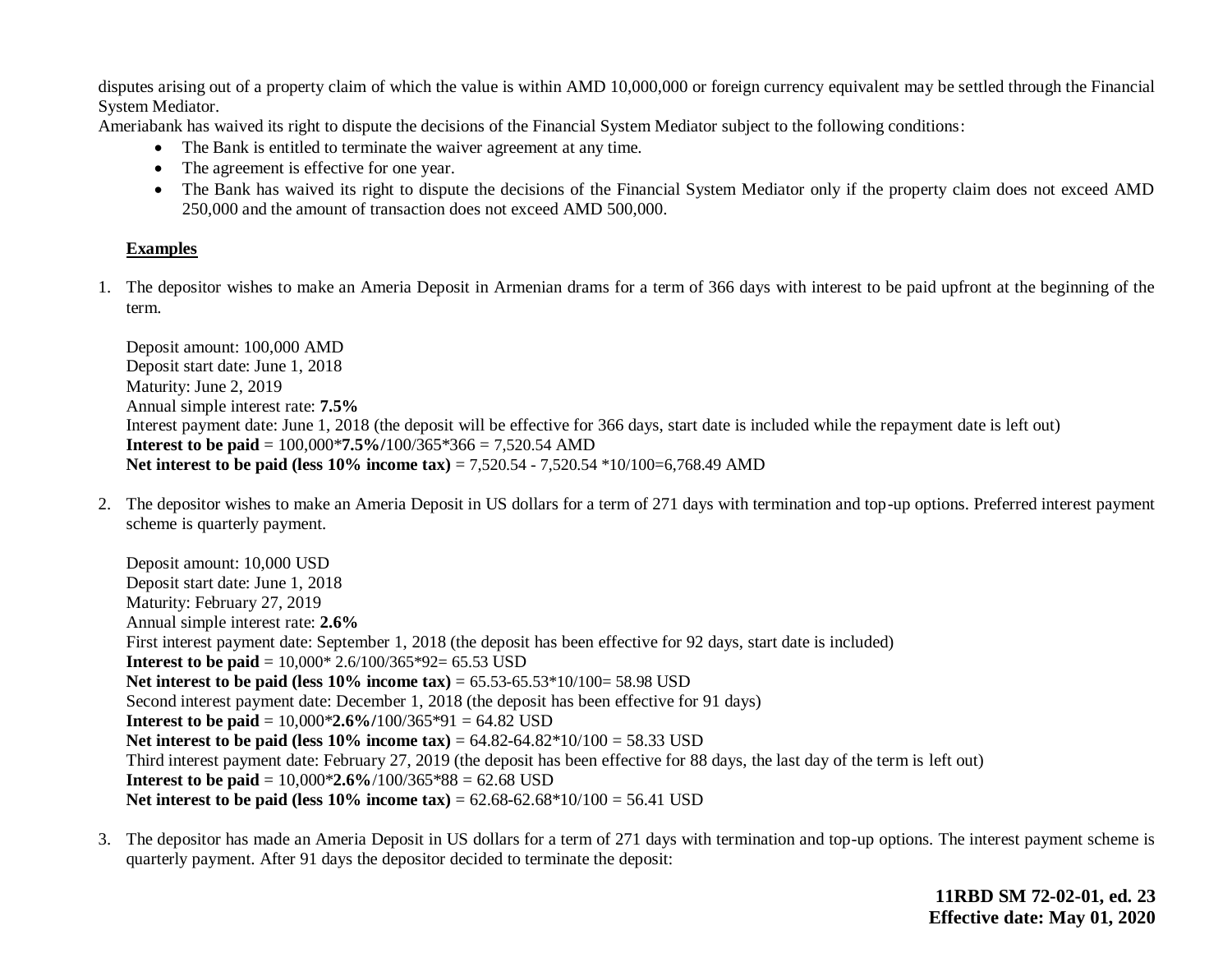disputes arising out of a property claim of which the value is within AMD 10,000,000 or foreign currency equivalent may be settled through the Financial System Mediator.

Ameriabank has waived its right to dispute the decisions of the Financial System Mediator subject to the following conditions:

- The Bank is entitled to terminate the waiver agreement at any time.
- The agreement is effective for one year.
- The Bank has waived its right to dispute the decisions of the Financial System Mediator only if the property claim does not exceed AMD 250,000 and the amount of transaction does not exceed AMD 500,000.

## **Examples**

1. The depositor wishes to make an Ameria Deposit in Armenian drams for a term of 366 days with interest to be paid upfront at the beginning of the term.

Deposit amount: 100,000 AMD Deposit start date: June 1, 2018 Maturity: June 2, 2019 Annual simple interest rate: **7.5%** Interest payment date: June 1, 2018 (the deposit will be effective for 366 days, start date is included while the repayment date is left out) **Interest to be paid** = 100,000\***7.5%/**100/365\*366 = 7,520.54 AMD **Net interest to be paid (less 10% income tax) = 7,520.54 - 7,520.54**  $*10/100=6,768.49$  **AMD** 

2. The depositor wishes to make an Ameria Deposit in US dollars for a term of 271 days with termination and top-up options. Preferred interest payment scheme is quarterly payment.

Deposit amount: 10,000 USD Deposit start date: June 1, 2018 Maturity: February 27, 2019 Annual simple interest rate: **2.6%** First interest payment date: September 1, 2018 (the deposit has been effective for 92 days, start date is included) **Interest to be paid** = 10,000\* 2.6/100/365\*92= 65.53 USD **Net interest to be paid (less 10% income tax) = 65.53-65.53\*10/100= 58.98 USD** Second interest payment date: December 1, 2018 (the deposit has been effective for 91 days) **Interest to be paid** = 10,000\***2.6%/**100/365\*91 = 64.82 USD **Net interest to be paid (less 10% income tax)** = 64.82-64.82\*10/100 = 58.33 USD Third interest payment date: February 27, 2019 (the deposit has been effective for 88 days, the last day of the term is left out) **Interest to be paid** = 10,000\***2.6%**/100/365\*88 = 62.68 USD **Net interest to be paid (less**  $10\%$  **income tax) =**  $62.68 - 62.68 \times 10/100 = 56.41$  **USD** 

3. The depositor has made an Ameria Deposit in US dollars for a term of 271 days with termination and top-up options. The interest payment scheme is quarterly payment. After 91 days the depositor decided to terminate the deposit:

> **11RBD SM 72-02-01, ed. 23 Effective date: May 01, 2020**